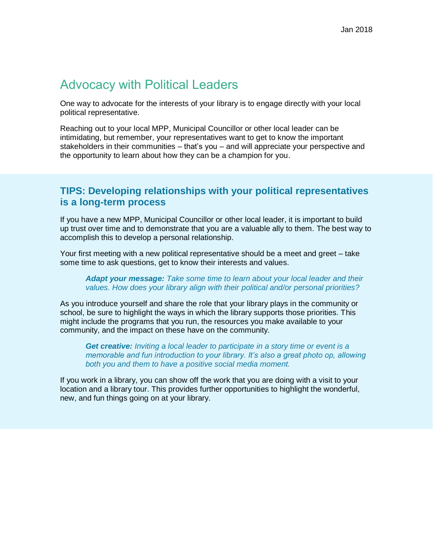# Advocacy with Political Leaders

One way to advocate for the interests of your library is to engage directly with your local political representative.

Reaching out to your local MPP, Municipal Councillor or other local leader can be intimidating, but remember, your representatives want to get to know the important stakeholders in their communities – that's you – and will appreciate your perspective and the opportunity to learn about how they can be a champion for you.

## **TIPS: Developing relationships with your political representatives is a long-term process**

If you have a new MPP, Municipal Councillor or other local leader, it is important to build up trust over time and to demonstrate that you are a valuable ally to them. The best way to accomplish this to develop a personal relationship.

Your first meeting with a new political representative should be a meet and greet – take some time to ask questions, get to know their interests and values.

*Adapt your message: Take some time to learn about your local leader and their values. How does your library align with their political and/or personal priorities?*

As you introduce yourself and share the role that your library plays in the community or school, be sure to highlight the ways in which the library supports those priorities. This might include the programs that you run, the resources you make available to your community, and the impact on these have on the community.

*Get creative: Inviting a local leader to participate in a story time or event is a memorable and fun introduction to your library. It's also a great photo op, allowing both you and them to have a positive social media moment.* 

If you work in a library, you can show off the work that you are doing with a visit to your location and a library tour. This provides further opportunities to highlight the wonderful, new, and fun things going on at your library.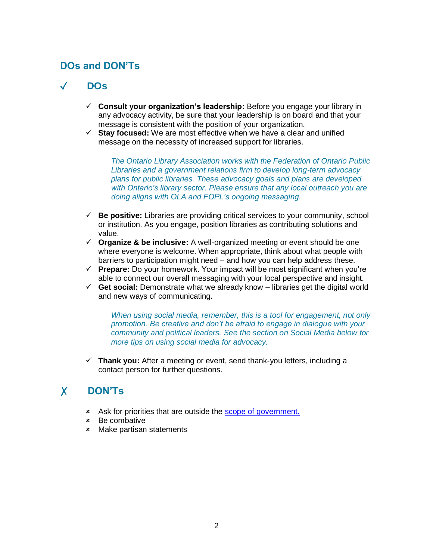## **DOs and DON'Ts**

# ✓ **DOs**

- ✓ **Consult your organization's leadership:** Before you engage your library in any advocacy activity, be sure that your leadership is on board and that your message is consistent with the position of your organization.
- ✓ **Stay focused:** We are most effective when we have a clear and unified message on the necessity of increased support for libraries.

*The Ontario Library Association works with the Federation of Ontario Public Libraries and a government relations firm to develop long-term advocacy plans for public libraries. These advocacy goals and plans are developed with Ontario's library sector. Please ensure that any local outreach you are doing aligns with OLA and FOPL's ongoing messaging.* 

- ✓ **Be positive:** Libraries are providing critical services to your community, school or institution. As you engage, position libraries as contributing solutions and value.
- ✓ **Organize & be inclusive:** A well-organized meeting or event should be one where everyone is welcome. When appropriate, think about what people with barriers to participation might need – and how you can help address these.
- ✓ **Prepare:** Do your homework. Your impact will be most significant when you're able to connect our overall messaging with your local perspective and insight.
- ✓ **Get social:** Demonstrate what we already know libraries get the digital world and new ways of communicating.

*When using social media, remember, this is a tool for engagement, not only promotion. Be creative and don't be afraid to engage in dialogue with your community and political leaders. See the section on Social Media below for more tips on using social media for advocacy.* 

✓ **Thank you:** After a meeting or event, send thank-you letters, including a contact person for further questions.

# ✗ **DON'Ts**

- Ask for priorities that are outside the [scope of government.](http://www.accessola.org/web/OLA/ADVOCACY/Ongoing_Library_Issues/Funding/OLA/Issues_Advocacy/Governance_and_Funding_of_Libraries.aspx?hkey=b8e1c42f-a71d-4cd6-8bd9-6de263f9712f)
- Be combative
- Make partisan statements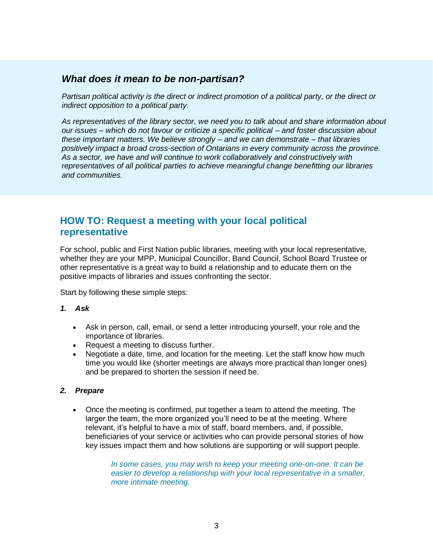## *What does it mean to be non-partisan?*

*Partisan political activity is the direct or indirect promotion of a political party, or the direct or indirect opposition to a political party.* 

*As representatives of the library sector, we need you to talk about and share information about our issues – which do not favour or criticize a specific political – and foster discussion about these important matters. We believe strongly – and we can demonstrate – that libraries positively impact a broad cross-section of Ontarians in every community across the province. As a sector, we have and will continue to work collaboratively and constructively with representatives of all political parties to achieve meaningful change benefitting our libraries and communities.*

## **HOW TO: Request a meeting with your local political representative**

For school, public and First Nation public libraries, meeting with your local representative, whether they are your MPP, Municipal Councillor, Band Council, School Board Trustee or other representative is a great way to build a relationship and to educate them on the positive impacts of libraries and issues confronting the sector.

Start by following these simple steps:

#### *1. Ask*

- Ask in person, call, email, or send a letter introducing yourself, your role and the importance of libraries.
- Request a meeting to discuss further.
- Negotiate a date, time, and location for the meeting. Let the staff know how much time you would like (shorter meetings are always more practical than longer ones) and be prepared to shorten the session if need be.

#### *2. Prepare*

• Once the meeting is confirmed, put together a team to attend the meeting. The larger the team, the more organized you'll need to be at the meeting. Where relevant, it's helpful to have a mix of staff, board members, and, if possible, beneficiaries of your service or activities who can provide personal stories of how key issues impact them and how solutions are supporting or will support people.

> *In some cases, you may wish to keep your meeting one-on-one. It can be easier to develop a relationship with your local representative in a smaller, more intimate meeting.*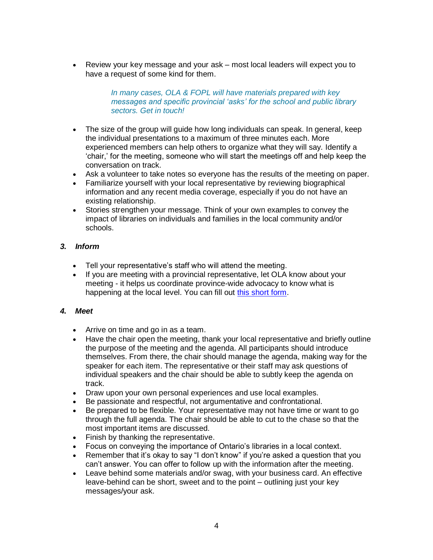• Review your key message and your ask – most local leaders will expect you to have a request of some kind for them.

> *In many cases, OLA & FOPL will have materials prepared with key messages and specific provincial 'asks' for the school and public library sectors. Get in touch!*

- The size of the group will guide how long individuals can speak. In general, keep the individual presentations to a maximum of three minutes each. More experienced members can help others to organize what they will say. Identify a 'chair,' for the meeting, someone who will start the meetings off and help keep the conversation on track.
- Ask a volunteer to take notes so everyone has the results of the meeting on paper.
- Familiarize yourself with your local representative by reviewing biographical information and any recent media coverage, especially if you do not have an existing relationship.
- Stories strengthen your message. Think of your own examples to convey the impact of libraries on individuals and families in the local community and/or schools.

### *3. Inform*

- Tell your representative's staff who will attend the meeting.
- If you are meeting with a provincial representative, let OLA know about your meeting - it helps us coordinate province-wide advocacy to know what is happening at the local level. You can fill out [this short form.](https://docs.google.com/forms/d/1ZSNg5WTvi14WPq1ceQZzkdx-CZfIW5pBNIyspvAoMRM/edit?usp=drive_web)

### *4. Meet*

- Arrive on time and go in as a team.
- Have the chair open the meeting, thank your local representative and briefly outline the purpose of the meeting and the agenda. All participants should introduce themselves. From there, the chair should manage the agenda, making way for the speaker for each item. The representative or their staff may ask questions of individual speakers and the chair should be able to subtly keep the agenda on track.
- Draw upon your own personal experiences and use local examples.
- Be passionate and respectful, not argumentative and confrontational.
- Be prepared to be flexible. Your representative may not have time or want to go through the full agenda. The chair should be able to cut to the chase so that the most important items are discussed.
- Finish by thanking the representative.
- Focus on conveying the importance of Ontario's libraries in a local context.
- Remember that it's okay to say "I don't know" if you're asked a question that you can't answer. You can offer to follow up with the information after the meeting.
- Leave behind some materials and/or swag, with your business card. An effective leave-behind can be short, sweet and to the point – outlining just your key messages/your ask.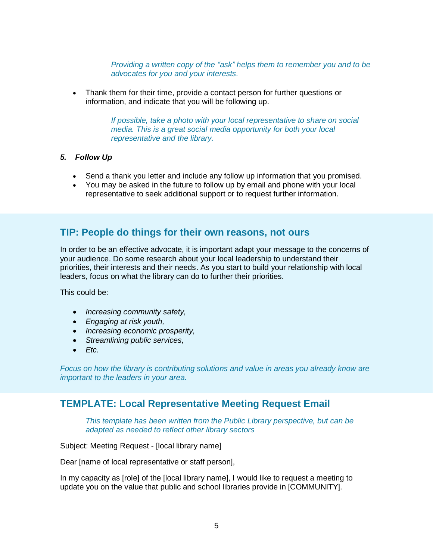*Providing a written copy of the "ask" helps them to remember you and to be advocates for you and your interests.* 

• Thank them for their time, provide a contact person for further questions or information, and indicate that you will be following up.

> *If possible, take a photo with your local representative to share on social media. This is a great social media opportunity for both your local representative and the library.*

#### *5. Follow Up*

- Send a thank you letter and include any follow up information that you promised.
- You may be asked in the future to follow up by email and phone with your local representative to seek additional support or to request further information.

### **TIP: People do things for their own reasons, not ours**

In order to be an effective advocate, it is important adapt your message to the concerns of your audience. Do some research about your local leadership to understand their priorities, their interests and their needs. As you start to build your relationship with local leaders, focus on what the library can do to further their priorities.

This could be:

- *Increasing community safety,*
- *Engaging at risk youth,*
- *Increasing economic prosperity,*
- *Streamlining public services,*
- *Etc.*

*Focus on how the library is contributing solutions and value in areas you already know are important to the leaders in your area.* 

### **TEMPLATE: Local Representative Meeting Request Email**

*This template has been written from the Public Library perspective, but can be adapted as needed to reflect other library sectors*

Subject: Meeting Request - [local library name]

Dear [name of local representative or staff person],

In my capacity as [role] of the [local library name], I would like to request a meeting to update you on the value that public and school libraries provide in [COMMUNITY].